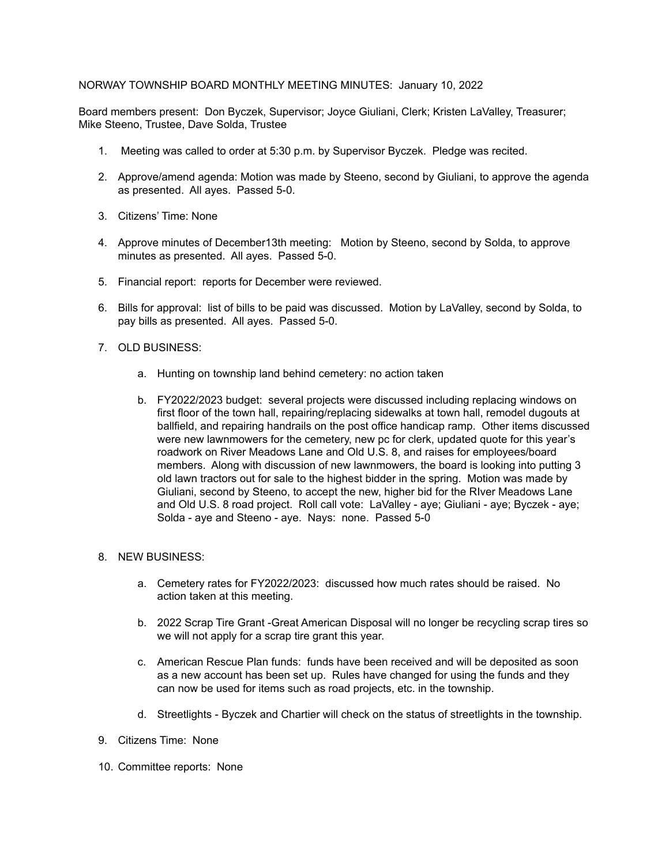## NORWAY TOWNSHIP BOARD MONTHLY MEETING MINUTES: January 10, 2022

Board members present: Don Byczek, Supervisor; Joyce Giuliani, Clerk; Kristen LaValley, Treasurer; Mike Steeno, Trustee, Dave Solda, Trustee

- 1. Meeting was called to order at 5:30 p.m. by Supervisor Byczek. Pledge was recited.
- 2. Approve/amend agenda: Motion was made by Steeno, second by Giuliani, to approve the agenda as presented. All ayes. Passed 5-0.
- 3. Citizens' Time: None
- 4. Approve minutes of December13th meeting: Motion by Steeno, second by Solda, to approve minutes as presented. All ayes. Passed 5-0.
- 5. Financial report: reports for December were reviewed.
- 6. Bills for approval: list of bills to be paid was discussed. Motion by LaValley, second by Solda, to pay bills as presented. All ayes. Passed 5-0.
- 7. OLD BUSINESS:
	- a. Hunting on township land behind cemetery: no action taken
	- b. FY2022/2023 budget: several projects were discussed including replacing windows on first floor of the town hall, repairing/replacing sidewalks at town hall, remodel dugouts at ballfield, and repairing handrails on the post office handicap ramp. Other items discussed were new lawnmowers for the cemetery, new pc for clerk, updated quote for this year's roadwork on River Meadows Lane and Old U.S. 8, and raises for employees/board members. Along with discussion of new lawnmowers, the board is looking into putting 3 old lawn tractors out for sale to the highest bidder in the spring. Motion was made by Giuliani, second by Steeno, to accept the new, higher bid for the RIver Meadows Lane and Old U.S. 8 road project. Roll call vote: LaValley - aye; Giuliani - aye; Byczek - aye; Solda - aye and Steeno - aye. Nays: none. Passed 5-0

## 8. NEW BUSINESS:

- a. Cemetery rates for FY2022/2023: discussed how much rates should be raised. No action taken at this meeting.
- b. 2022 Scrap Tire Grant -Great American Disposal will no longer be recycling scrap tires so we will not apply for a scrap tire grant this year.
- c. American Rescue Plan funds: funds have been received and will be deposited as soon as a new account has been set up. Rules have changed for using the funds and they can now be used for items such as road projects, etc. in the township.
- d. Streetlights Byczek and Chartier will check on the status of streetlights in the township.
- 9. Citizens Time: None
- 10. Committee reports: None